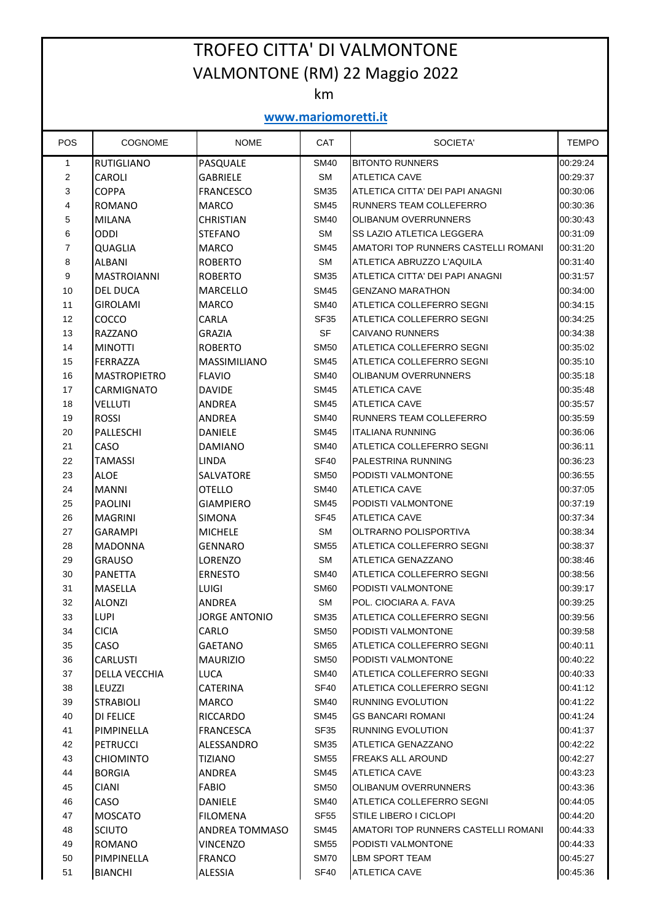## TROFEO CITTA' DI VALMONTONE VALMONTONE (RM) 22 Maggio 2022

km

## **www.mariomoretti.it**

| POS            | COGNOME             | <b>NOME</b>          | CAT         | SOCIETA'                            | <b>TEMPO</b> |  |  |  |  |
|----------------|---------------------|----------------------|-------------|-------------------------------------|--------------|--|--|--|--|
| $\mathbf{1}$   | <b>RUTIGLIANO</b>   | PASQUALE             | <b>SM40</b> | <b>BITONTO RUNNERS</b>              | 00:29:24     |  |  |  |  |
| $\overline{2}$ | CAROLI              | <b>GABRIELE</b>      | <b>SM</b>   | <b>ATLETICA CAVE</b>                | 00:29:37     |  |  |  |  |
| 3              | <b>COPPA</b>        | <b>FRANCESCO</b>     | <b>SM35</b> | ATLETICA CITTA' DEI PAPI ANAGNI     | 00:30:06     |  |  |  |  |
| 4              | ROMANO              | <b>MARCO</b>         | <b>SM45</b> | RUNNERS TEAM COLLEFERRO             | 00:30:36     |  |  |  |  |
| 5              | <b>MILANA</b>       | <b>CHRISTIAN</b>     | <b>SM40</b> | OLIBANUM OVERRUNNERS                | 00:30:43     |  |  |  |  |
| 6              | <b>ODDI</b>         | <b>STEFANO</b>       | <b>SM</b>   | SS LAZIO ATLETICA LEGGERA           | 00:31:09     |  |  |  |  |
| 7              | QUAGLIA             | <b>MARCO</b>         | <b>SM45</b> | AMATORI TOP RUNNERS CASTELLI ROMANI | 00:31:20     |  |  |  |  |
| 8              | <b>ALBANI</b>       | <b>ROBERTO</b>       | <b>SM</b>   | ATLETICA ABRUZZO L'AQUILA           | 00:31:40     |  |  |  |  |
| 9              | IMASTROIANNI        | <b>ROBERTO</b>       | <b>SM35</b> | ATLETICA CITTA' DEI PAPI ANAGNI     | 00:31:57     |  |  |  |  |
| 10             | <b>DEL DUCA</b>     | <b>MARCELLO</b>      | <b>SM45</b> | <b>GENZANO MARATHON</b>             | 00:34:00     |  |  |  |  |
| 11             | <b>GIROLAMI</b>     | <b>MARCO</b>         | <b>SM40</b> | ATLETICA COLLEFERRO SEGNI           | 00:34:15     |  |  |  |  |
| 12             | COCCO               | CARLA                | <b>SF35</b> | ATLETICA COLLEFERRO SEGNI           | 00:34:25     |  |  |  |  |
| 13             | <b>RAZZANO</b>      | <b>GRAZIA</b>        | SF          | <b>CAIVANO RUNNERS</b>              | 00:34:38     |  |  |  |  |
| 14             | <b>MINOTTI</b>      | <b>ROBERTO</b>       | <b>SM50</b> | ATLETICA COLLEFERRO SEGNI           | 00:35:02     |  |  |  |  |
| 15             | <b>FERRAZZA</b>     | <b>MASSIMILIANO</b>  | <b>SM45</b> | ATLETICA COLLEFERRO SEGNI           | 00:35:10     |  |  |  |  |
| 16             | <b>MASTROPIETRO</b> | <b>FLAVIO</b>        | <b>SM40</b> | OLIBANUM OVERRUNNERS                | 00:35:18     |  |  |  |  |
| 17             | CARMIGNATO          | <b>DAVIDE</b>        | <b>SM45</b> | <b>ATLETICA CAVE</b>                | 00:35:48     |  |  |  |  |
| 18             | <b>VELLUTI</b>      | <b>ANDREA</b>        | <b>SM45</b> | <b>ATLETICA CAVE</b>                | 00:35:57     |  |  |  |  |
| 19             | <b>ROSSI</b>        | ANDREA               | <b>SM40</b> | RUNNERS TEAM COLLEFERRO             | 00:35:59     |  |  |  |  |
| 20             | PALLESCHI           | <b>DANIELE</b>       | <b>SM45</b> | <b>ITALIANA RUNNING</b>             | 00:36:06     |  |  |  |  |
| 21             | CASO                | <b>DAMIANO</b>       | <b>SM40</b> | ATLETICA COLLEFERRO SEGNI           | 00:36:11     |  |  |  |  |
| 22             | <b>TAMASSI</b>      | <b>LINDA</b>         | <b>SF40</b> | PALESTRINA RUNNING                  | 00:36:23     |  |  |  |  |
| 23             | <b>ALOE</b>         | <b>SALVATORE</b>     | <b>SM50</b> | PODISTI VALMONTONE                  | 00:36:55     |  |  |  |  |
| 24             | <b>MANNI</b>        | <b>OTELLO</b>        | <b>SM40</b> | <b>ATLETICA CAVE</b>                | 00:37:05     |  |  |  |  |
| 25             | <b>PAOLINI</b>      | <b>GIAMPIERO</b>     | <b>SM45</b> | PODISTI VALMONTONE                  | 00:37:19     |  |  |  |  |
| 26             | <b>MAGRINI</b>      | <b>SIMONA</b>        | <b>SF45</b> | <b>ATLETICA CAVE</b>                | 00:37:34     |  |  |  |  |
| 27             | <b>GARAMPI</b>      | <b>MICHELE</b>       | <b>SM</b>   | OLTRARNO POLISPORTIVA               | 00:38:34     |  |  |  |  |
| 28             | <b>MADONNA</b>      | <b>GENNARO</b>       | <b>SM55</b> | ATLETICA COLLEFERRO SEGNI           | 00:38:37     |  |  |  |  |
| 29             | <b>GRAUSO</b>       | LORENZO              | SM          | ATLETICA GENAZZANO                  | 00:38:46     |  |  |  |  |
| 30             | PANETTA             | <b>ERNESTO</b>       | <b>SM40</b> | ATLETICA COLLEFERRO SEGNI           | 00:38:56     |  |  |  |  |
| 31             | <b>MASELLA</b>      | <b>LUIGI</b>         | <b>SM60</b> | PODISTI VALMONTONE                  | 00:39:17     |  |  |  |  |
| 32             | <b>ALONZI</b>       | <b>ANDREA</b>        | SM          | POL. CIOCIARA A. FAVA               | 00:39:25     |  |  |  |  |
| 33             | <b>LUPI</b>         | <b>JORGE ANTONIO</b> | <b>SM35</b> | ATLETICA COLLEFERRO SEGNI           | 00:39:56     |  |  |  |  |
| 34             | <b>CICIA</b>        | CARLO                | <b>SM50</b> | PODISTI VALMONTONE                  | 00:39:58     |  |  |  |  |
| 35             | CASO                | <b>GAETANO</b>       | <b>SM65</b> | ATLETICA COLLEFERRO SEGNI           | 00:40:11     |  |  |  |  |
| 36             | <b>CARLUSTI</b>     | <b>MAURIZIO</b>      | <b>SM50</b> | PODISTI VALMONTONE                  | 00:40:22     |  |  |  |  |
| 37             | DELLA VECCHIA       | LUCA                 | <b>SM40</b> | ATLETICA COLLEFERRO SEGNI           | 00:40:33     |  |  |  |  |
| 38             | LEUZZI              | <b>CATERINA</b>      | <b>SF40</b> | ATLETICA COLLEFERRO SEGNI           | 00:41:12     |  |  |  |  |
| 39             | <b>STRABIOLI</b>    | <b>MARCO</b>         | <b>SM40</b> | RUNNING EVOLUTION                   | 00:41:22     |  |  |  |  |
| 40             | <b>DI FELICE</b>    | <b>RICCARDO</b>      | <b>SM45</b> | <b>GS BANCARI ROMANI</b>            | 00:41:24     |  |  |  |  |
| 41             | PIMPINELLA          | FRANCESCA            | <b>SF35</b> | RUNNING EVOLUTION                   | 00:41:37     |  |  |  |  |
| 42             | PETRUCCI            | ALESSANDRO           | <b>SM35</b> | ATLETICA GENAZZANO                  | 00:42:22     |  |  |  |  |
| 43             | <b>CHIOMINTO</b>    | TIZIANO              | <b>SM55</b> | FREAKS ALL AROUND                   | 00:42:27     |  |  |  |  |
| 44             | <b>BORGIA</b>       | ANDREA               | <b>SM45</b> | <b>ATLETICA CAVE</b>                | 00:43:23     |  |  |  |  |
| 45             | <b>CIANI</b>        | <b>FABIO</b>         | <b>SM50</b> | OLIBANUM OVERRUNNERS                | 00:43:36     |  |  |  |  |
| 46             | <b>CASO</b>         | DANIELE              | <b>SM40</b> | ATLETICA COLLEFERRO SEGNI           | 00:44:05     |  |  |  |  |
| 47             | <b>MOSCATO</b>      | <b>FILOMENA</b>      | <b>SF55</b> | <b>STILE LIBERO I CICLOPI</b>       | 00:44:20     |  |  |  |  |
| 48             | <b>SCIUTO</b>       | ANDREA TOMMASO       | <b>SM45</b> | AMATORI TOP RUNNERS CASTELLI ROMANI | 00:44:33     |  |  |  |  |
| 49             | ROMANO              | <b>VINCENZO</b>      | <b>SM55</b> | PODISTI VALMONTONE                  | 00:44:33     |  |  |  |  |
| 50             | PIMPINELLA          | <b>FRANCO</b>        | <b>SM70</b> | LBM SPORT TEAM                      | 00:45:27     |  |  |  |  |
| 51             | <b>BIANCHI</b>      | ALESSIA              | SF40        | <b>ATLETICA CAVE</b>                | 00:45:36     |  |  |  |  |
|                |                     |                      |             |                                     |              |  |  |  |  |